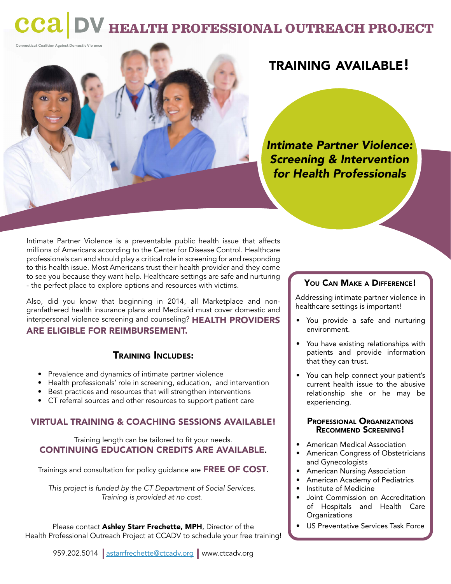## cca health professional outreach project

Connecticut Coalition Against Domestic Violence

## training available!

*Intimate Partner Violence: Screening & Intervention for Health Professionals*

Intimate Partner Violence is a preventable public health issue that affects millions of Americans according to the Center for Disease Control. Healthcare professionals can and should play a critical role in screening for and responding to this health issue. Most Americans trust their health provider and they come to see you because they want help. Healthcare settings are safe and nurturing - the perfect place to explore options and resources with victims.

Also, did you know that beginning in 2014, all Marketplace and nongranfathered health insurance plans and Medicaid must cover domestic and interpersonal violence screening and counseling? HEALTH PROVIDERS ARE ELIGIBLE FOR REIMBURSEMENT.

#### Training Includes:

- Prevalence and dynamics of intimate partner violence
- Health professionals' role in screening, education, and intervention
- Best practices and resources that will strengthen interventions
- CT referral sources and other resources to support patient care

#### VIRTUAL TRAINING & COACHING SESSIONS AVAILABLE!

Training length can be tailored to fit your needs. CONTINUING EDUCATION CREDITS ARE AVAILABLE.

Trainings and consultation for policy guidance are FREE OF COST.

*This project is funded by the CT Department of Social Services. Training is provided at no cost.*

Please contact Ashley Starr Frechette, MPH, Director of the Health Professional Outreach Project at CCADV to schedule your free training!

#### YOU CAN MAKE A DIFFERENCE!

Addressing intimate partner violence in healthcare settings is important!

- You provide a safe and nurturing environment.
- You have existing relationships with patients and provide information that they can trust.
- You can help connect your patient's current health issue to the abusive relationship she or he may be experiencing.

# Professional Organizations Recommend Screening!

- American Medical Association
- American Congress of Obstetricians and Gynecologists
- American Nursing Association
- American Academy of Pediatrics
- Institute of Medicine
- Joint Commission on Accreditation of Hospitals and Health Care **Organizations**
- US Preventative Services Task Force